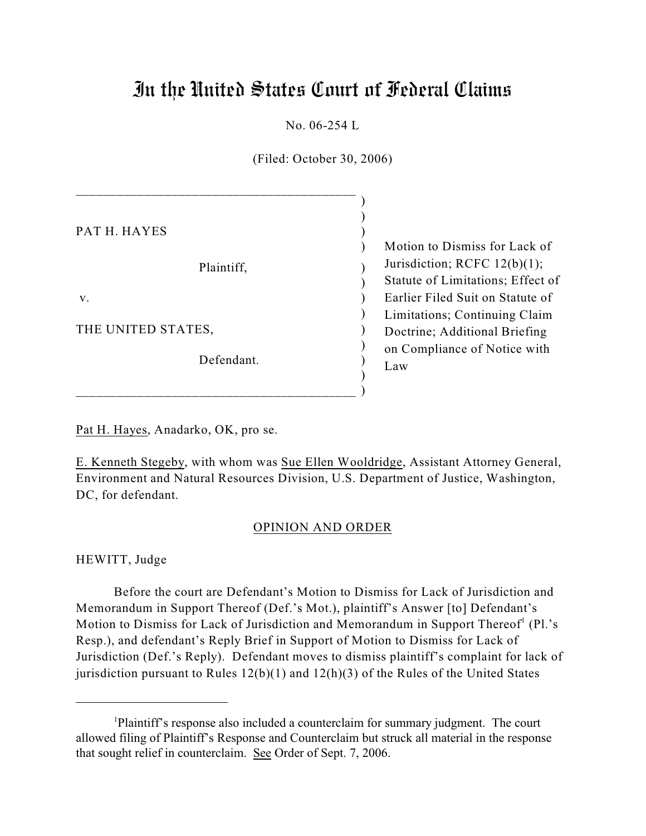# In the United States Court of Federal Claims

No. 06-254 L

(Filed: October 30, 2006)

\_\_\_\_\_\_\_\_\_\_\_\_\_\_\_\_\_\_\_\_\_\_\_\_\_\_\_\_\_\_\_\_\_\_\_\_\_\_\_\_\_ ) Motion to Dismiss for Lack of Jurisdiction; RCFC 12(b)(1); Statute of Limitations; Effect of Earlier Filed Suit on Statute of Limitations; Continuing Claim Doctrine; Additional Briefing on Compliance of Notice with Law  $)$ PAT H. HAYES (a)  $)$ Plaintiff,  $\qquad \qquad$ )  $)$ v. (a) and (b) and (b) and (c) and (c) and (c) and (c) and (c) and (c) and (c) and (c) and (c) and (c) and (c) and (c) and (c) and (c) and (c) and (c) and (c) and (c) and (c) and (c) and (c) and (c) and (c) and (c) and (c)  $)$ THE UNITED STATES,  $)$ Defendant. )

Pat H. Hayes, Anadarko, OK, pro se.

\_\_\_\_\_\_\_\_\_\_\_\_\_\_\_\_\_\_\_\_\_\_\_\_\_\_\_\_\_\_\_\_\_\_\_\_\_\_\_\_\_ )

E. Kenneth Stegeby, with whom was Sue Ellen Wooldridge, Assistant Attorney General, Environment and Natural Resources Division, U.S. Department of Justice, Washington, DC, for defendant.

# OPINION AND ORDER

HEWITT, Judge

Before the court are Defendant's Motion to Dismiss for Lack of Jurisdiction and Memorandum in Support Thereof (Def.'s Mot.), plaintiff's Answer [to] Defendant's Motion to Dismiss for Lack of Jurisdiction and Memorandum in Support Thereof<sup>1</sup> (Pl.'s Resp.), and defendant's Reply Brief in Support of Motion to Dismiss for Lack of Jurisdiction (Def.'s Reply). Defendant moves to dismiss plaintiff's complaint for lack of jurisdiction pursuant to Rules  $12(b)(1)$  and  $12(h)(3)$  of the Rules of the United States

<sup>&</sup>lt;sup>1</sup>Plaintiff's response also included a counterclaim for summary judgment. The court allowed filing of Plaintiff's Response and Counterclaim but struck all material in the response that sought relief in counterclaim. See Order of Sept. 7, 2006.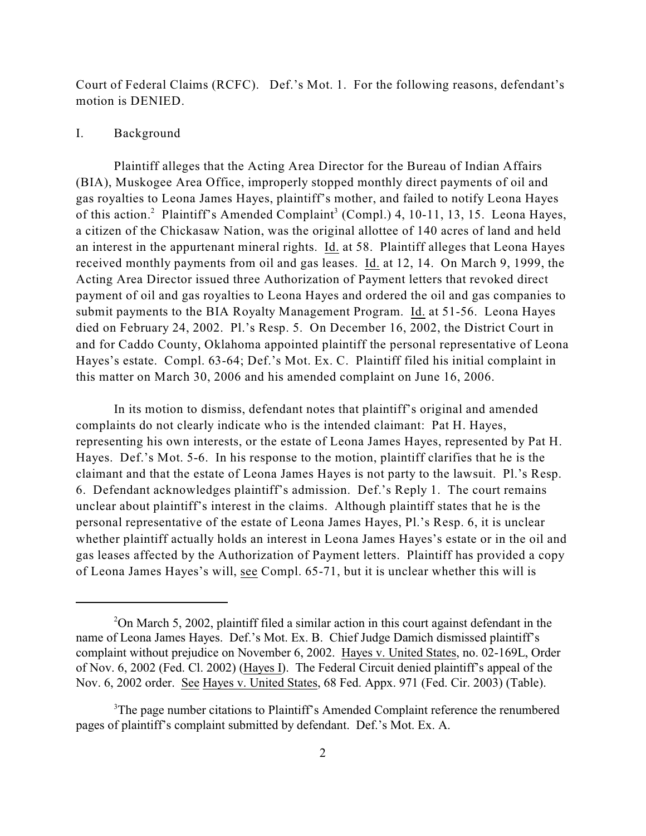Court of Federal Claims (RCFC). Def.'s Mot. 1. For the following reasons, defendant's motion is DENIED.

# I. Background

Plaintiff alleges that the Acting Area Director for the Bureau of Indian Affairs (BIA), Muskogee Area Office, improperly stopped monthly direct payments of oil and gas royalties to Leona James Hayes, plaintiff's mother, and failed to notify Leona Hayes of this action.<sup>2</sup> Plaintiff's Amended Complaint<sup>3</sup> (Compl.) 4, 10-11, 13, 15. Leona Hayes, a citizen of the Chickasaw Nation, was the original allottee of 140 acres of land and held an interest in the appurtenant mineral rights. Id. at 58. Plaintiff alleges that Leona Hayes received monthly payments from oil and gas leases. Id. at 12, 14. On March 9, 1999, the Acting Area Director issued three Authorization of Payment letters that revoked direct payment of oil and gas royalties to Leona Hayes and ordered the oil and gas companies to submit payments to the BIA Royalty Management Program. Id. at 51-56. Leona Hayes died on February 24, 2002. Pl.'s Resp. 5. On December 16, 2002, the District Court in and for Caddo County, Oklahoma appointed plaintiff the personal representative of Leona Hayes's estate. Compl. 63-64; Def.'s Mot. Ex. C. Plaintiff filed his initial complaint in this matter on March 30, 2006 and his amended complaint on June 16, 2006.

In its motion to dismiss, defendant notes that plaintiff's original and amended complaints do not clearly indicate who is the intended claimant: Pat H. Hayes, representing his own interests, or the estate of Leona James Hayes, represented by Pat H. Hayes. Def.'s Mot. 5-6. In his response to the motion, plaintiff clarifies that he is the claimant and that the estate of Leona James Hayes is not party to the lawsuit. Pl.'s Resp. 6. Defendant acknowledges plaintiff's admission. Def.'s Reply 1. The court remains unclear about plaintiff's interest in the claims. Although plaintiff states that he is the personal representative of the estate of Leona James Hayes, Pl.'s Resp. 6, it is unclear whether plaintiff actually holds an interest in Leona James Hayes's estate or in the oil and gas leases affected by the Authorization of Payment letters. Plaintiff has provided a copy of Leona James Hayes's will, see Compl. 65-71, but it is unclear whether this will is

 $2$ On March 5, 2002, plaintiff filed a similar action in this court against defendant in the name of Leona James Hayes. Def.'s Mot. Ex. B. Chief Judge Damich dismissed plaintiff's complaint without prejudice on November 6, 2002. Hayes v. United States, no. 02-169L, Order of Nov. 6, 2002 (Fed. Cl. 2002) (Hayes I). The Federal Circuit denied plaintiff's appeal of the Nov. 6, 2002 order. See Hayes v. United States, 68 Fed. Appx. 971 (Fed. Cir. 2003) (Table).

<sup>&</sup>lt;sup>3</sup>The page number citations to Plaintiff's Amended Complaint reference the renumbered pages of plaintiff's complaint submitted by defendant. Def.'s Mot. Ex. A.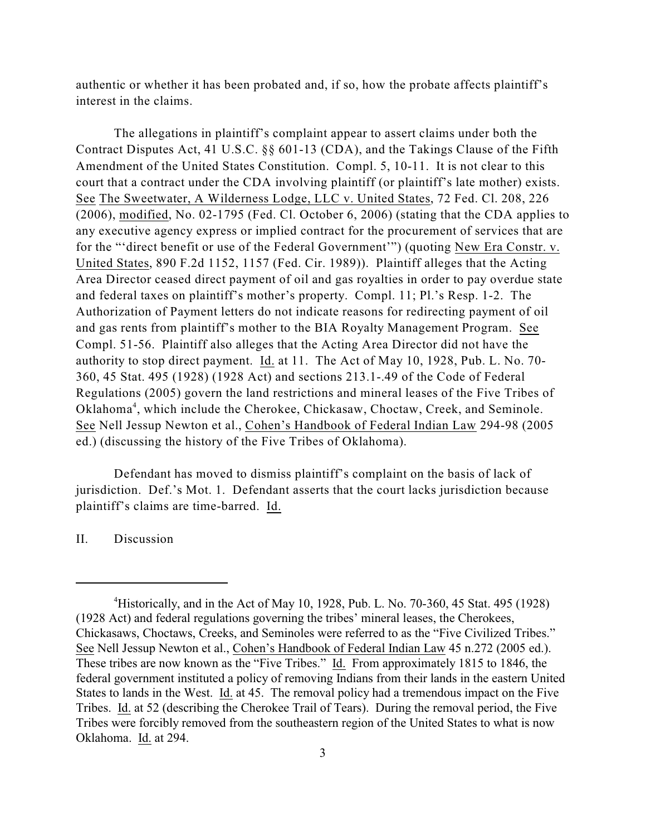authentic or whether it has been probated and, if so, how the probate affects plaintiff's interest in the claims.

The allegations in plaintiff's complaint appear to assert claims under both the Contract Disputes Act, 41 U.S.C. §§ 601-13 (CDA), and the Takings Clause of the Fifth Amendment of the United States Constitution. Compl. 5, 10-11. It is not clear to this court that a contract under the CDA involving plaintiff (or plaintiff's late mother) exists. See The Sweetwater, A Wilderness Lodge, LLC v. United States, 72 Fed. Cl. 208, 226 (2006), modified, No. 02-1795 (Fed. Cl. October 6, 2006) (stating that the CDA applies to any executive agency express or implied contract for the procurement of services that are for the "'direct benefit or use of the Federal Government'") (quoting New Era Constr. v. United States, 890 F.2d 1152, 1157 (Fed. Cir. 1989)). Plaintiff alleges that the Acting Area Director ceased direct payment of oil and gas royalties in order to pay overdue state and federal taxes on plaintiff's mother's property. Compl. 11; Pl.'s Resp. 1-2. The Authorization of Payment letters do not indicate reasons for redirecting payment of oil and gas rents from plaintiff's mother to the BIA Royalty Management Program. See Compl. 51-56. Plaintiff also alleges that the Acting Area Director did not have the authority to stop direct payment. Id. at 11. The Act of May 10, 1928, Pub. L. No. 70- 360, 45 Stat. 495 (1928) (1928 Act) and sections 213.1-.49 of the Code of Federal Regulations (2005) govern the land restrictions and mineral leases of the Five Tribes of Oklahoma<sup>4</sup>, which include the Cherokee, Chickasaw, Choctaw, Creek, and Seminole. See Nell Jessup Newton et al., Cohen's Handbook of Federal Indian Law 294-98 (2005 ed.) (discussing the history of the Five Tribes of Oklahoma).

Defendant has moved to dismiss plaintiff's complaint on the basis of lack of jurisdiction. Def.'s Mot. 1. Defendant asserts that the court lacks jurisdiction because plaintiff's claims are time-barred. Id.

## II. Discussion

<sup>&</sup>lt;sup>4</sup> Historically, and in the Act of May 10, 1928, Pub. L. No. 70-360, 45 Stat. 495 (1928) (1928 Act) and federal regulations governing the tribes' mineral leases, the Cherokees, Chickasaws, Choctaws, Creeks, and Seminoles were referred to as the "Five Civilized Tribes." See Nell Jessup Newton et al., Cohen's Handbook of Federal Indian Law 45 n.272 (2005 ed.). These tribes are now known as the "Five Tribes." Id. From approximately 1815 to 1846, the federal government instituted a policy of removing Indians from their lands in the eastern United States to lands in the West. Id. at 45. The removal policy had a tremendous impact on the Five Tribes. Id. at 52 (describing the Cherokee Trail of Tears). During the removal period, the Five Tribes were forcibly removed from the southeastern region of the United States to what is now Oklahoma. Id. at 294.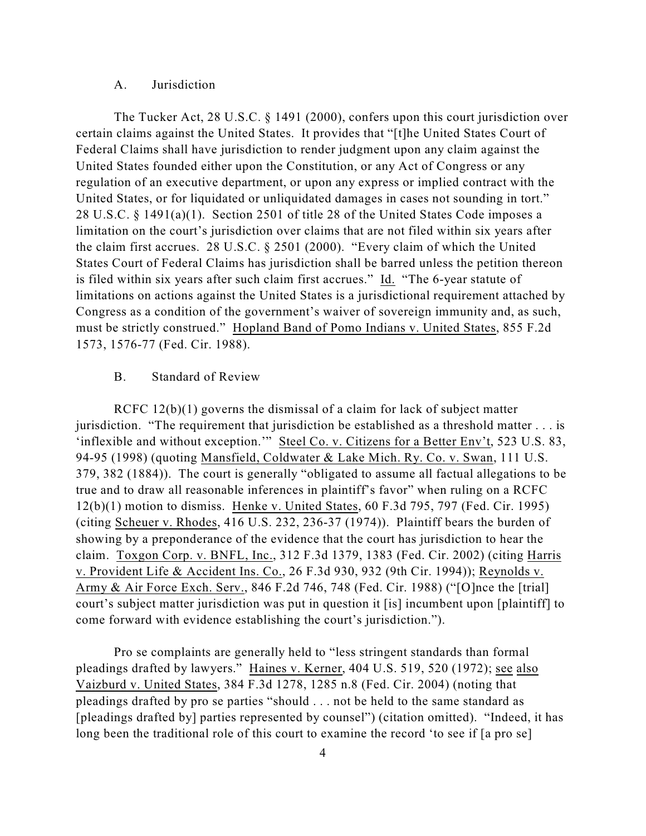#### A. Jurisdiction

The Tucker Act, 28 U.S.C. § 1491 (2000), confers upon this court jurisdiction over certain claims against the United States. It provides that "[t]he United States Court of Federal Claims shall have jurisdiction to render judgment upon any claim against the United States founded either upon the Constitution, or any Act of Congress or any regulation of an executive department, or upon any express or implied contract with the United States, or for liquidated or unliquidated damages in cases not sounding in tort." 28 U.S.C. § 1491(a)(1). Section 2501 of title 28 of the United States Code imposes a limitation on the court's jurisdiction over claims that are not filed within six years after the claim first accrues. 28 U.S.C. § 2501 (2000). "Every claim of which the United States Court of Federal Claims has jurisdiction shall be barred unless the petition thereon is filed within six years after such claim first accrues." Id. "The 6-year statute of limitations on actions against the United States is a jurisdictional requirement attached by Congress as a condition of the government's waiver of sovereign immunity and, as such, must be strictly construed." Hopland Band of Pomo Indians v. United States, 855 F.2d 1573, 1576-77 (Fed. Cir. 1988).

#### B. Standard of Review

RCFC 12(b)(1) governs the dismissal of a claim for lack of subject matter jurisdiction. "The requirement that jurisdiction be established as a threshold matter . . . is 'inflexible and without exception.'" Steel Co. v. Citizens for a Better Env't, 523 U.S. 83, 94-95 (1998) (quoting Mansfield, Coldwater & Lake Mich. Ry. Co. v. Swan, 111 U.S. 379, 382 (1884)). The court is generally "obligated to assume all factual allegations to be true and to draw all reasonable inferences in plaintiff's favor" when ruling on a RCFC 12(b)(1) motion to dismiss. Henke v. United States, 60 F.3d 795, 797 (Fed. Cir. 1995) (citing Scheuer v. Rhodes, 416 U.S. 232, 236-37 (1974)). Plaintiff bears the burden of showing by a preponderance of the evidence that the court has jurisdiction to hear the claim. Toxgon Corp. v. BNFL, Inc., 312 F.3d 1379, 1383 (Fed. Cir. 2002) (citing Harris v. Provident Life & Accident Ins. Co., 26 F.3d 930, 932 (9th Cir. 1994)); Reynolds v. Army & Air Force Exch. Serv., 846 F.2d 746, 748 (Fed. Cir. 1988) ("[O]nce the [trial] court's subject matter jurisdiction was put in question it [is] incumbent upon [plaintiff] to come forward with evidence establishing the court's jurisdiction.").

Pro se complaints are generally held to "less stringent standards than formal pleadings drafted by lawyers." Haines v. Kerner, 404 U.S. 519, 520 (1972); see also Vaizburd v. United States, 384 F.3d 1278, 1285 n.8 (Fed. Cir. 2004) (noting that pleadings drafted by pro se parties "should . . . not be held to the same standard as [pleadings drafted by] parties represented by counsel") (citation omitted). "Indeed, it has long been the traditional role of this court to examine the record 'to see if [a pro se]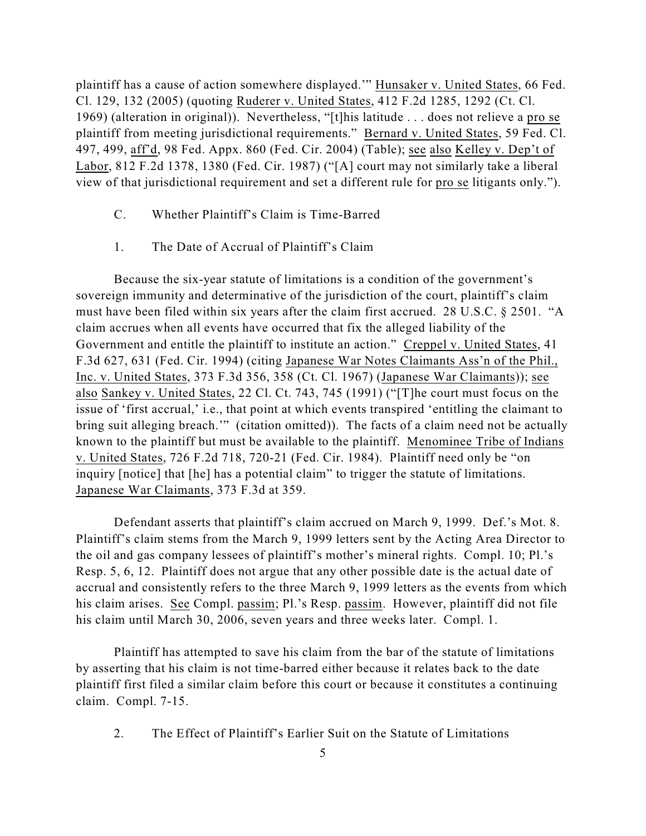plaintiff has a cause of action somewhere displayed.'" Hunsaker v. United States, 66 Fed. Cl. 129, 132 (2005) (quoting Ruderer v. United States, 412 F.2d 1285, 1292 (Ct. Cl. 1969) (alteration in original)). Nevertheless, "[t]his latitude . . . does not relieve a pro se plaintiff from meeting jurisdictional requirements." Bernard v. United States, 59 Fed. Cl. 497, 499, aff'd, 98 Fed. Appx. 860 (Fed. Cir. 2004) (Table); see also Kelley v. Dep't of Labor, 812 F.2d 1378, 1380 (Fed. Cir. 1987) ("[A] court may not similarly take a liberal view of that jurisdictional requirement and set a different rule for pro se litigants only.").

- C. Whether Plaintiff's Claim is Time-Barred
- 1. The Date of Accrual of Plaintiff's Claim

Because the six-year statute of limitations is a condition of the government's sovereign immunity and determinative of the jurisdiction of the court, plaintiff's claim must have been filed within six years after the claim first accrued. 28 U.S.C. § 2501. "A claim accrues when all events have occurred that fix the alleged liability of the Government and entitle the plaintiff to institute an action." Creppel v. United States, 41 F.3d 627, 631 (Fed. Cir. 1994) (citing Japanese War Notes Claimants Ass'n of the Phil., Inc. v. United States, 373 F.3d 356, 358 (Ct. Cl. 1967) (Japanese War Claimants)); see also Sankey v. United States, 22 Cl. Ct. 743, 745 (1991) ("[T]he court must focus on the issue of 'first accrual,' i.e., that point at which events transpired 'entitling the claimant to bring suit alleging breach.'" (citation omitted)). The facts of a claim need not be actually known to the plaintiff but must be available to the plaintiff. Menominee Tribe of Indians v. United States, 726 F.2d 718, 720-21 (Fed. Cir. 1984). Plaintiff need only be "on inquiry [notice] that [he] has a potential claim" to trigger the statute of limitations. Japanese War Claimants, 373 F.3d at 359.

Defendant asserts that plaintiff's claim accrued on March 9, 1999. Def.'s Mot. 8. Plaintiff's claim stems from the March 9, 1999 letters sent by the Acting Area Director to the oil and gas company lessees of plaintiff's mother's mineral rights. Compl. 10; Pl.'s Resp. 5, 6, 12. Plaintiff does not argue that any other possible date is the actual date of accrual and consistently refers to the three March 9, 1999 letters as the events from which his claim arises. See Compl. passim; Pl.'s Resp. passim. However, plaintiff did not file his claim until March 30, 2006, seven years and three weeks later. Compl. 1.

Plaintiff has attempted to save his claim from the bar of the statute of limitations by asserting that his claim is not time-barred either because it relates back to the date plaintiff first filed a similar claim before this court or because it constitutes a continuing claim. Compl. 7-15.

2. The Effect of Plaintiff's Earlier Suit on the Statute of Limitations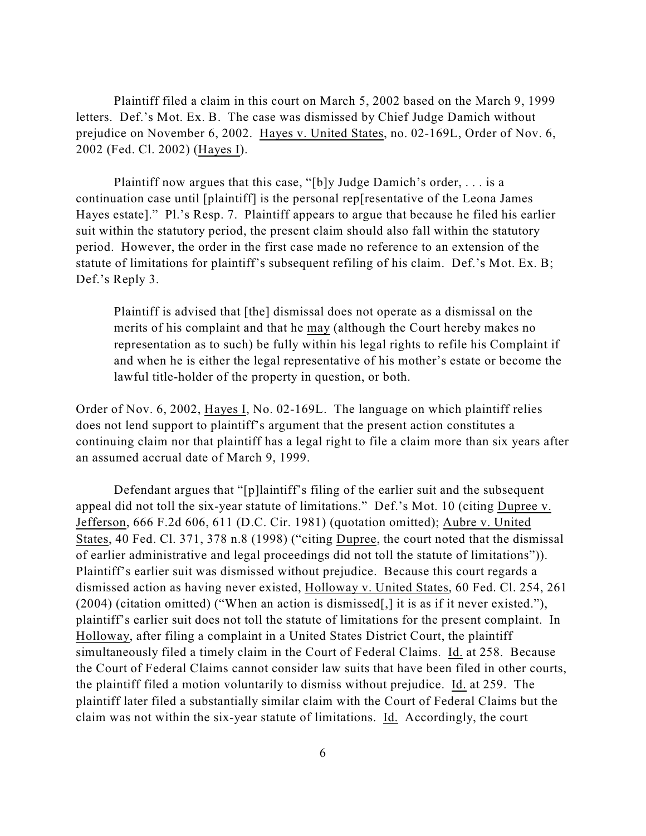Plaintiff filed a claim in this court on March 5, 2002 based on the March 9, 1999 letters. Def.'s Mot. Ex. B. The case was dismissed by Chief Judge Damich without prejudice on November 6, 2002. Hayes v. United States, no. 02-169L, Order of Nov. 6, 2002 (Fed. Cl. 2002) (Hayes I).

Plaintiff now argues that this case, "[b]y Judge Damich's order, . . . is a continuation case until [plaintiff] is the personal rep[resentative of the Leona James Hayes estate]." Pl.'s Resp. 7. Plaintiff appears to argue that because he filed his earlier suit within the statutory period, the present claim should also fall within the statutory period. However, the order in the first case made no reference to an extension of the statute of limitations for plaintiff's subsequent refiling of his claim. Def.'s Mot. Ex. B; Def.'s Reply 3.

Plaintiff is advised that [the] dismissal does not operate as a dismissal on the merits of his complaint and that he may (although the Court hereby makes no representation as to such) be fully within his legal rights to refile his Complaint if and when he is either the legal representative of his mother's estate or become the lawful title-holder of the property in question, or both.

Order of Nov. 6, 2002, Hayes I, No. 02-169L. The language on which plaintiff relies does not lend support to plaintiff's argument that the present action constitutes a continuing claim nor that plaintiff has a legal right to file a claim more than six years after an assumed accrual date of March 9, 1999.

Defendant argues that "[p]laintiff's filing of the earlier suit and the subsequent appeal did not toll the six-year statute of limitations." Def.'s Mot. 10 (citing Dupree v. Jefferson, 666 F.2d 606, 611 (D.C. Cir. 1981) (quotation omitted); Aubre v. United States, 40 Fed. Cl. 371, 378 n.8 (1998) ("citing Dupree, the court noted that the dismissal of earlier administrative and legal proceedings did not toll the statute of limitations")). Plaintiff's earlier suit was dismissed without prejudice. Because this court regards a dismissed action as having never existed, Holloway v. United States, 60 Fed. Cl. 254, 261 (2004) (citation omitted) ("When an action is dismissed[,] it is as if it never existed."), plaintiff's earlier suit does not toll the statute of limitations for the present complaint. In Holloway, after filing a complaint in a United States District Court, the plaintiff simultaneously filed a timely claim in the Court of Federal Claims. Id. at 258. Because the Court of Federal Claims cannot consider law suits that have been filed in other courts, the plaintiff filed a motion voluntarily to dismiss without prejudice. Id. at 259. The plaintiff later filed a substantially similar claim with the Court of Federal Claims but the claim was not within the six-year statute of limitations. Id. Accordingly, the court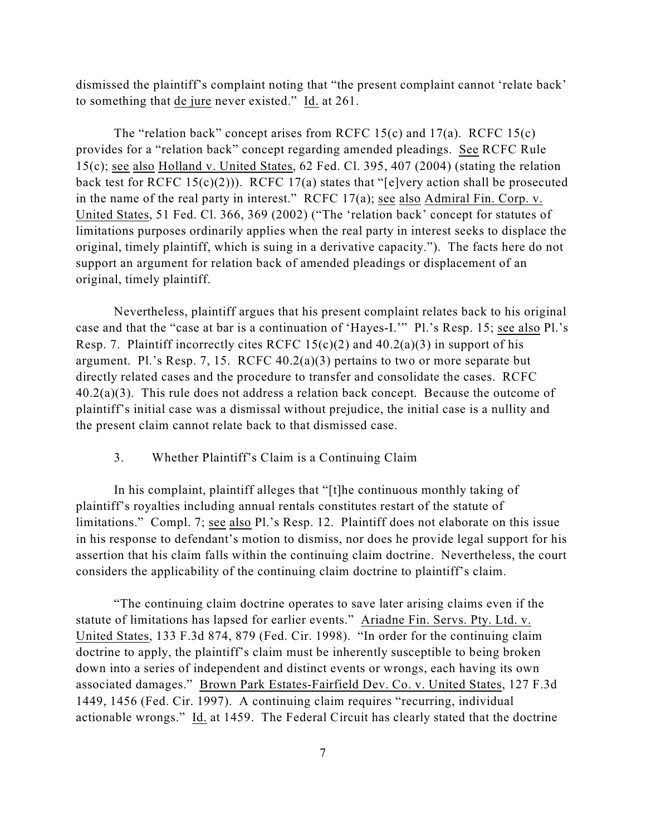dismissed the plaintiff's complaint noting that "the present complaint cannot 'relate back' to something that de jure never existed." Id. at 261.

The "relation back" concept arises from RCFC 15(c) and 17(a). RCFC 15(c) provides for a "relation back" concept regarding amended pleadings. See RCFC Rule 15(c); see also Holland v. United States, 62 Fed. Cl. 395, 407 (2004) (stating the relation back test for RCFC 15(c)(2))). RCFC 17(a) states that "[e]very action shall be prosecuted in the name of the real party in interest." RCFC 17(a); see also Admiral Fin. Corp. v. United States, 51 Fed. Cl. 366, 369 (2002) ("The 'relation back' concept for statutes of limitations purposes ordinarily applies when the real party in interest seeks to displace the original, timely plaintiff, which is suing in a derivative capacity."). The facts here do not support an argument for relation back of amended pleadings or displacement of an original, timely plaintiff.

Nevertheless, plaintiff argues that his present complaint relates back to his original case and that the "case at bar is a continuation of 'Hayes-I.'" Pl.'s Resp. 15; see also Pl.'s Resp. 7. Plaintiff incorrectly cites RCFC 15(c)(2) and  $40.2(a)(3)$  in support of his argument. Pl.'s Resp. 7, 15. RCFC  $40.2(a)(3)$  pertains to two or more separate but directly related cases and the procedure to transfer and consolidate the cases. RCFC  $40.2(a)(3)$ . This rule does not address a relation back concept. Because the outcome of plaintiff's initial case was a dismissal without prejudice, the initial case is a nullity and the present claim cannot relate back to that dismissed case.

## 3. Whether Plaintiff's Claim is a Continuing Claim

In his complaint, plaintiff alleges that "[t]he continuous monthly taking of plaintiff's royalties including annual rentals constitutes restart of the statute of limitations." Compl. 7; see also Pl.'s Resp. 12. Plaintiff does not elaborate on this issue in his response to defendant's motion to dismiss, nor does he provide legal support for his assertion that his claim falls within the continuing claim doctrine. Nevertheless, the court considers the applicability of the continuing claim doctrine to plaintiff's claim.

"The continuing claim doctrine operates to save later arising claims even if the statute of limitations has lapsed for earlier events." Ariadne Fin. Servs. Pty. Ltd. v. United States, 133 F.3d 874, 879 (Fed. Cir. 1998). "In order for the continuing claim doctrine to apply, the plaintiff's claim must be inherently susceptible to being broken down into a series of independent and distinct events or wrongs, each having its own associated damages." Brown Park Estates-Fairfield Dev. Co. v. United States, 127 F.3d 1449, 1456 (Fed. Cir. 1997). A continuing claim requires "recurring, individual actionable wrongs." Id. at 1459. The Federal Circuit has clearly stated that the doctrine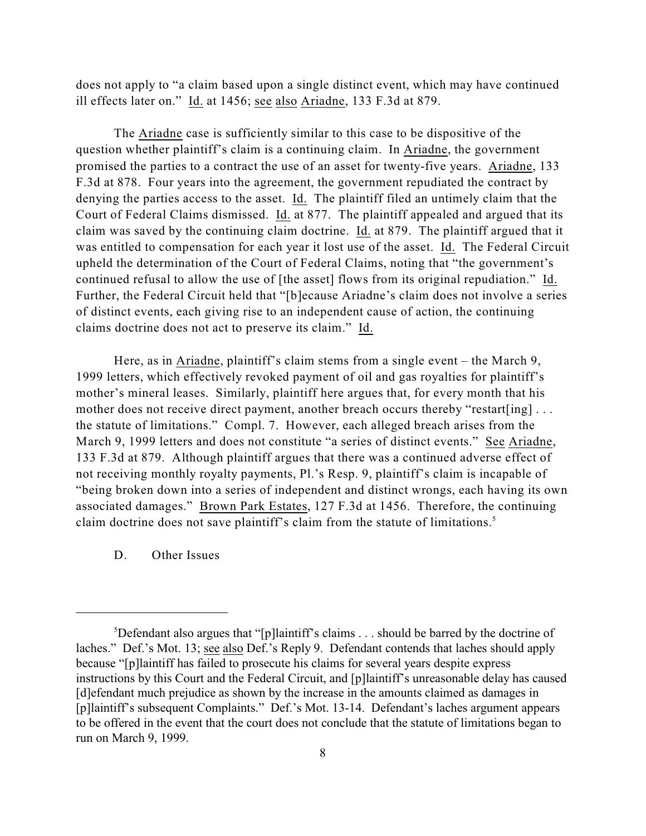does not apply to "a claim based upon a single distinct event, which may have continued ill effects later on." Id. at 1456; see also Ariadne, 133 F.3d at 879.

The Ariadne case is sufficiently similar to this case to be dispositive of the question whether plaintiff's claim is a continuing claim. In Ariadne, the government promised the parties to a contract the use of an asset for twenty-five years. Ariadne, 133 F.3d at 878. Four years into the agreement, the government repudiated the contract by denying the parties access to the asset. Id. The plaintiff filed an untimely claim that the Court of Federal Claims dismissed. Id. at 877. The plaintiff appealed and argued that its claim was saved by the continuing claim doctrine. Id. at 879. The plaintiff argued that it was entitled to compensation for each year it lost use of the asset. Id. The Federal Circuit upheld the determination of the Court of Federal Claims, noting that "the government's continued refusal to allow the use of [the asset] flows from its original repudiation." Id. Further, the Federal Circuit held that "[b]ecause Ariadne's claim does not involve a series of distinct events, each giving rise to an independent cause of action, the continuing claims doctrine does not act to preserve its claim." Id.

Here, as in Ariadne, plaintiff's claim stems from a single event – the March 9, 1999 letters, which effectively revoked payment of oil and gas royalties for plaintiff's mother's mineral leases. Similarly, plaintiff here argues that, for every month that his mother does not receive direct payment, another breach occurs thereby "restart[ing]... the statute of limitations." Compl. 7. However, each alleged breach arises from the March 9, 1999 letters and does not constitute "a series of distinct events." See Ariadne, 133 F.3d at 879. Although plaintiff argues that there was a continued adverse effect of not receiving monthly royalty payments, Pl.'s Resp. 9, plaintiff's claim is incapable of "being broken down into a series of independent and distinct wrongs, each having its own associated damages." Brown Park Estates, 127 F.3d at 1456. Therefore, the continuing claim doctrine does not save plaintiff's claim from the statute of limitations.<sup>5</sup>

D. Other Issues

 ${}^{5}$ Defendant also argues that "[p]laintiff's claims . . . should be barred by the doctrine of laches." Def.'s Mot. 13; see also Def.'s Reply 9. Defendant contends that laches should apply because "[p]laintiff has failed to prosecute his claims for several years despite express instructions by this Court and the Federal Circuit, and [p]laintiff's unreasonable delay has caused [d]efendant much prejudice as shown by the increase in the amounts claimed as damages in [p]laintiff's subsequent Complaints." Def.'s Mot. 13-14. Defendant's laches argument appears to be offered in the event that the court does not conclude that the statute of limitations began to run on March 9, 1999.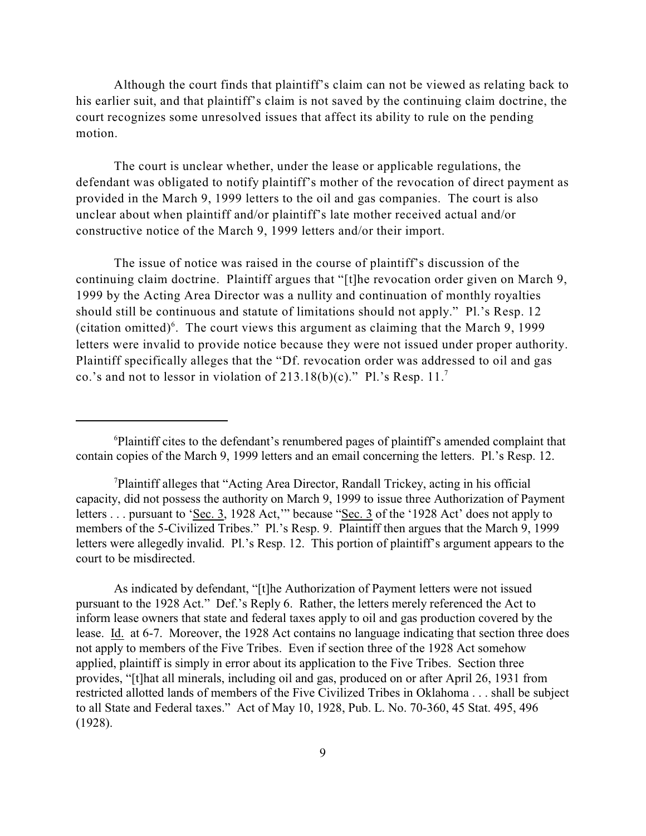Although the court finds that plaintiff's claim can not be viewed as relating back to his earlier suit, and that plaintiff's claim is not saved by the continuing claim doctrine, the court recognizes some unresolved issues that affect its ability to rule on the pending motion.

The court is unclear whether, under the lease or applicable regulations, the defendant was obligated to notify plaintiff's mother of the revocation of direct payment as provided in the March 9, 1999 letters to the oil and gas companies. The court is also unclear about when plaintiff and/or plaintiff's late mother received actual and/or constructive notice of the March 9, 1999 letters and/or their import.

The issue of notice was raised in the course of plaintiff's discussion of the continuing claim doctrine. Plaintiff argues that "[t]he revocation order given on March 9, 1999 by the Acting Area Director was a nullity and continuation of monthly royalties should still be continuous and statute of limitations should not apply." Pl.'s Resp. 12 (citation omitted)<sup> $6$ </sup>. The court views this argument as claiming that the March 9, 1999 letters were invalid to provide notice because they were not issued under proper authority. Plaintiff specifically alleges that the "Df. revocation order was addressed to oil and gas co.'s and not to lessor in violation of  $213.18(b)(c)$ ." Pl.'s Resp. 11.<sup>7</sup>

As indicated by defendant, "[t]he Authorization of Payment letters were not issued pursuant to the 1928 Act." Def.'s Reply 6. Rather, the letters merely referenced the Act to inform lease owners that state and federal taxes apply to oil and gas production covered by the lease. Id. at 6-7. Moreover, the 1928 Act contains no language indicating that section three does not apply to members of the Five Tribes. Even if section three of the 1928 Act somehow applied, plaintiff is simply in error about its application to the Five Tribes. Section three provides, "[t]hat all minerals, including oil and gas, produced on or after April 26, 1931 from restricted allotted lands of members of the Five Civilized Tribes in Oklahoma . . . shall be subject to all State and Federal taxes." Act of May 10, 1928, Pub. L. No. 70-360, 45 Stat. 495, 496 (1928).

<sup>&</sup>lt;sup>6</sup>Plaintiff cites to the defendant's renumbered pages of plaintiff's amended complaint that contain copies of the March 9, 1999 letters and an email concerning the letters. Pl.'s Resp. 12.

Plaintiff alleges that "Acting Area Director, Randall Trickey, acting in his official <sup>7</sup> capacity, did not possess the authority on March 9, 1999 to issue three Authorization of Payment letters . . . pursuant to 'Sec. 3, 1928 Act,'" because "Sec. 3 of the '1928 Act' does not apply to members of the 5-Civilized Tribes." Pl.'s Resp. 9. Plaintiff then argues that the March 9, 1999 letters were allegedly invalid. Pl.'s Resp. 12. This portion of plaintiff's argument appears to the court to be misdirected.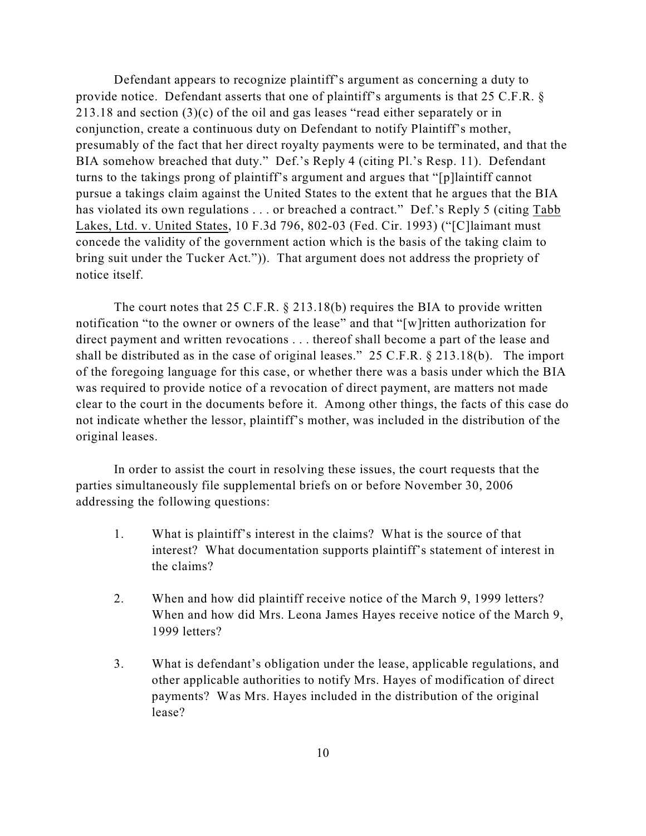Defendant appears to recognize plaintiff's argument as concerning a duty to provide notice. Defendant asserts that one of plaintiff's arguments is that 25 C.F.R. § 213.18 and section (3)(c) of the oil and gas leases "read either separately or in conjunction, create a continuous duty on Defendant to notify Plaintiff's mother, presumably of the fact that her direct royalty payments were to be terminated, and that the BIA somehow breached that duty." Def.'s Reply 4 (citing Pl.'s Resp. 11). Defendant turns to the takings prong of plaintiff's argument and argues that "[p]laintiff cannot pursue a takings claim against the United States to the extent that he argues that the BIA has violated its own regulations . . . or breached a contract." Def.'s Reply 5 (citing Tabb Lakes, Ltd. v. United States, 10 F.3d 796, 802-03 (Fed. Cir. 1993) ("[C]laimant must concede the validity of the government action which is the basis of the taking claim to bring suit under the Tucker Act.")). That argument does not address the propriety of notice itself.

The court notes that 25 C.F.R.  $\S$  213.18(b) requires the BIA to provide written notification "to the owner or owners of the lease" and that "[w]ritten authorization for direct payment and written revocations . . . thereof shall become a part of the lease and shall be distributed as in the case of original leases." 25 C.F.R. § 213.18(b). The import of the foregoing language for this case, or whether there was a basis under which the BIA was required to provide notice of a revocation of direct payment, are matters not made clear to the court in the documents before it. Among other things, the facts of this case do not indicate whether the lessor, plaintiff's mother, was included in the distribution of the original leases.

In order to assist the court in resolving these issues, the court requests that the parties simultaneously file supplemental briefs on or before November 30, 2006 addressing the following questions:

- 1. What is plaintiff's interest in the claims? What is the source of that interest? What documentation supports plaintiff's statement of interest in the claims?
- 2. When and how did plaintiff receive notice of the March 9, 1999 letters? When and how did Mrs. Leona James Hayes receive notice of the March 9, 1999 letters?
- 3. What is defendant's obligation under the lease, applicable regulations, and other applicable authorities to notify Mrs. Hayes of modification of direct payments? Was Mrs. Hayes included in the distribution of the original lease?